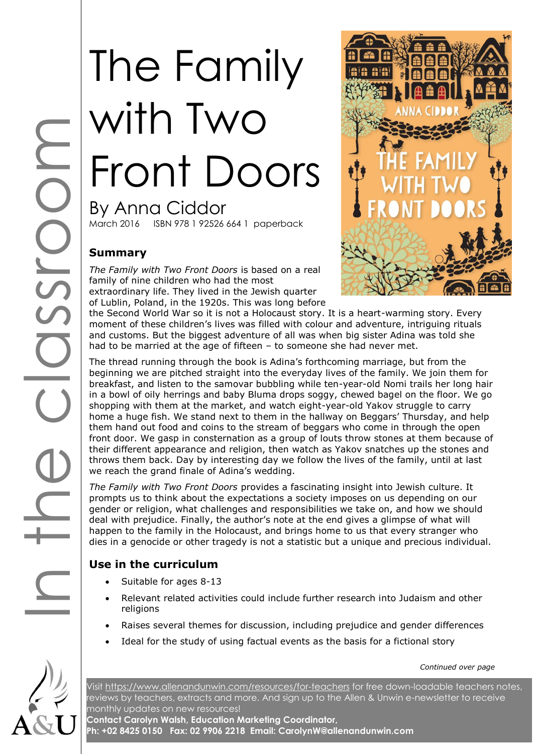# The Family with Two Front Doors By Anna Ciddor March 2016 ISBN 978 1 92526 664 1 paperback

## **Summary**

*The Family with Two Front Doors* is based on a real family of nine children who had the most extraordinary life. They lived in the Jewish quarter of Lublin, Poland, in the 1920s. This was long before



the Second World War so it is not a Holocaust story. It is a heart-warming story. Every moment of these children's lives was filled with colour and adventure, intriguing rituals and customs. But the biggest adventure of all was when big sister Adina was told she had to be married at the age of fifteen – to someone she had never met.

The thread running through the book is Adina's forthcoming marriage, but from the beginning we are pitched straight into the everyday lives of the family. We join them for breakfast, and listen to the samovar bubbling while ten-year-old Nomi trails her long hair in a bowl of oily herrings and baby Bluma drops soggy, chewed bagel on the floor. We go shopping with them at the market, and watch eight-year-old Yakov struggle to carry home a huge fish. We stand next to them in the hallway on Beggars' Thursday, and help them hand out food and coins to the stream of beggars who come in through the open front door. We gasp in consternation as a group of louts throw stones at them because of their different appearance and religion, then watch as Yakov snatches up the stones and throws them back. Day by interesting day we follow the lives of the family, until at last we reach the grand finale of Adina's wedding.

*The Family with Two Front Doors* provides a fascinating insight into Jewish culture. It prompts us to think about the expectations a society imposes on us depending on our gender or religion, what challenges and responsibilities we take on, and how we should deal with prejudice. Finally, the author's note at the end gives a glimpse of what will happen to the family in the Holocaust, and brings home to us that every stranger who dies in a genocide or other tragedy is not a statistic but a unique and precious individual.

# **Use in the curriculum**

- Suitable for ages 8-13
- Relevant related activities could include further research into Judaism and other religions
- Raises several themes for discussion, including prejudice and gender differences
- Ideal for the study of using factual events as the basis for a fictional story

*Continued over page*

Visit<https://www.allenandunwin.com/resources/for-teachers> for free down-loadable teachers notes, reviews by teachers, extracts and more. And sign up to the Allen & Unwin e-newsletter to receive monthly updates on new resources!

**Contact Carolyn Walsh, Education Marketing Coordinator, Ph: +02 8425 0150 Fax: 02 9906 2218 Email: CarolynW@allenandunwin.com**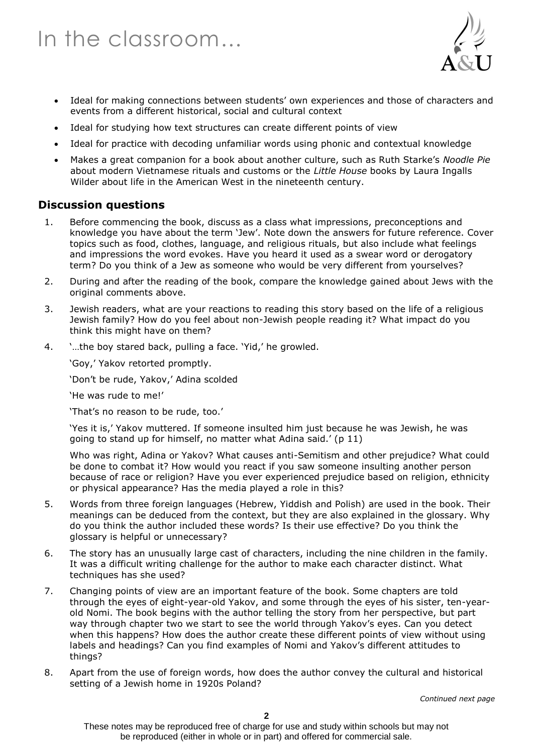

- Ideal for making connections between students' own experiences and those of characters and events from a different historical, social and cultural context
- Ideal for studying how text structures can create different points of view
- Ideal for practice with decoding unfamiliar words using phonic and contextual knowledge
- Makes a great companion for a book about another culture, such as Ruth Starke's *Noodle Pie*  about modern Vietnamese rituals and customs or the *Little House* books by Laura Ingalls Wilder about life in the American West in the nineteenth century.

#### **Discussion questions**

- 1. Before commencing the book, discuss as a class what impressions, preconceptions and knowledge you have about the term 'Jew'. Note down the answers for future reference. Cover topics such as food, clothes, language, and religious rituals, but also include what feelings and impressions the word evokes. Have you heard it used as a swear word or derogatory term? Do you think of a Jew as someone who would be very different from yourselves?
- 2. During and after the reading of the book, compare the knowledge gained about Jews with the original comments above.
- 3. Jewish readers, what are your reactions to reading this story based on the life of a religious Jewish family? How do you feel about non-Jewish people reading it? What impact do you think this might have on them?
- 4. '…the boy stared back, pulling a face. 'Yid,' he growled.

'Goy,' Yakov retorted promptly.

'Don't be rude, Yakov,' Adina scolded

'He was rude to me!'

'That's no reason to be rude, too.'

'Yes it is,' Yakov muttered. If someone insulted him just because he was Jewish, he was going to stand up for himself, no matter what Adina said.' (p 11)

Who was right, Adina or Yakov? What causes anti-Semitism and other prejudice? What could be done to combat it? How would you react if you saw someone insulting another person because of race or religion? Have you ever experienced prejudice based on religion, ethnicity or physical appearance? Has the media played a role in this?

- 5. Words from three foreign languages (Hebrew, Yiddish and Polish) are used in the book. Their meanings can be deduced from the context, but they are also explained in the glossary. Why do you think the author included these words? Is their use effective? Do you think the glossary is helpful or unnecessary?
- 6. The story has an unusually large cast of characters, including the nine children in the family. It was a difficult writing challenge for the author to make each character distinct. What techniques has she used?
- 7. Changing points of view are an important feature of the book. Some chapters are told through the eyes of eight-year-old Yakov, and some through the eyes of his sister, ten-yearold Nomi. The book begins with the author telling the story from her perspective, but part way through chapter two we start to see the world through Yakov's eyes. Can you detect when this happens? How does the author create these different points of view without using labels and headings? Can you find examples of Nomi and Yakov's different attitudes to things?
- 8. Apart from the use of foreign words, how does the author convey the cultural and historical setting of a Jewish home in 1920s Poland?

*Continued next page*